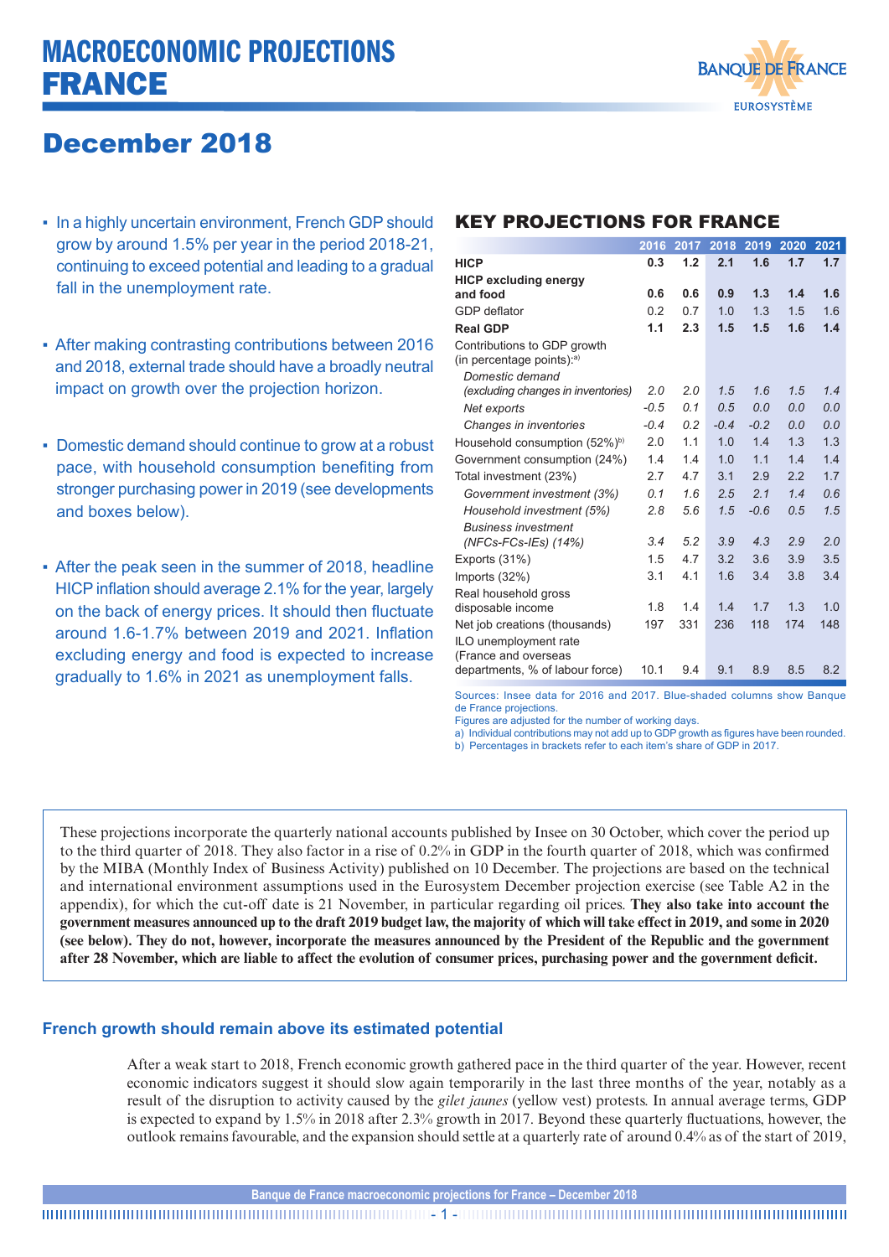# MACROECONOMIC PROJECTIONS FRANCE



# December 2018

- In a highly uncertain environment, French GDP should grow by around 1.5% per year in the period 2018-21, continuing to exceed potential and leading to a gradual fall in the unemployment rate.
- After making contrasting contributions between 2016 and 2018, external trade should have a broadly neutral impact on growth over the projection horizon.
- Domestic demand should continue to grow at a robust pace, with household consumption benefiting from stronger purchasing power in 2019 (see developments and boxes below).
- After the peak seen in the summer of 2018, headline HICP inflation should average 2.1% for the year, largely on the back of energy prices. It should then fluctuate around 1.6-1.7% between 2019 and 2021. Inflation excluding energy and food is expected to increase gradually to 1.6% in 2021 as unemployment falls.

# KEY PROJECTIONS FOR FRANCE

|                                                             | 2016   | 2017 | 2018   | 2019   | 2020 | 2021 |
|-------------------------------------------------------------|--------|------|--------|--------|------|------|
| <b>HICP</b>                                                 | 0.3    | 1.2  | 2.1    | 1.6    | 1.7  | 1.7  |
| <b>HICP excluding energy</b>                                |        |      |        |        |      |      |
| and food                                                    | 0.6    | 0.6  | 0.9    | 1.3    | 1.4  | 1.6  |
| GDP deflator                                                | 0.2    | 0.7  | 1.0    | 1.3    | 1.5  | 1.6  |
| <b>Real GDP</b>                                             | 1.1    | 2.3  | 1.5    | 1.5    | 1.6  | 1.4  |
| Contributions to GDP growth<br>(in percentage points): $a)$ |        |      |        |        |      |      |
| Domestic demand                                             |        |      |        |        |      |      |
| (excluding changes in inventories)                          | 2.0    | 2.0  | 1.5    | 1.6    | 1.5  | 1.4  |
| Net exports                                                 | $-0.5$ | 0.1  | 0.5    | 0.0    | 0.0  | 0.0  |
| Changes in inventories                                      | $-0.4$ | 0.2  | $-0.4$ | $-0.2$ | 0.0  | 0.0  |
| Household consumption (52%) <sup>b)</sup>                   | 2.0    | 1.1  | 1.0    | 1.4    | 1.3  | 1.3  |
| Government consumption (24%)                                | 1.4    | 1.4  | 1.0    | 1.1    | 1.4  | 1.4  |
| Total investment (23%)                                      | 2.7    | 4.7  | 3.1    | 2.9    | 2.2  | 1.7  |
| Government investment (3%)                                  | 0.1    | 1.6  | 2.5    | 2.1    | 1.4  | 0.6  |
| Household investment (5%)                                   | 2.8    | 5.6  | 1.5    | $-0.6$ | 0.5  | 1.5  |
| <b>Business investment</b>                                  |        |      |        |        |      |      |
| $(NFCs$ - $FCs$ - $IES)$ $(14%)$                            | 3.4    | 5.2  | 3.9    | 4.3    | 2.9  | 2.0  |
| Exports (31%)                                               | 1.5    | 4.7  | 3.2    | 3.6    | 3.9  | 3.5  |
| Imports (32%)                                               | 3.1    | 4.1  | 1.6    | 3.4    | 3.8  | 3.4  |
| Real household gross                                        |        |      |        |        |      |      |
| disposable income                                           | 1.8    | 1.4  | 1.4    | 1.7    | 1.3  | 1.0  |
| Net job creations (thousands)                               | 197    | 331  | 236    | 118    | 174  | 148  |
| ILO unemployment rate<br>(France and overseas               |        |      |        |        |      |      |
| departments, % of labour force)                             | 10.1   | 9.4  | 9.1    | 8.9    | 8.5  | 8.2  |

Sources: Insee data for 2016 and 2017. Blue-shaded columns show Banque de France projections.

Figures are adjusted for the number of working days.

a) Individual contributions may not add up to GDP growth as figures have been rounded. b) Percentages in brackets refer to each item's share of GDP in 2017.

These projections incorporate the quarterly national accounts published by Insee on 30 October, which cover the period up to the third quarter of 2018. They also factor in a rise of 0.2% in GDP in the fourth quarter of 2018, which was confirmed by the MIBA (Monthly Index of Business Activity) published on 10 December. The projections are based on the technical and international environment assumptions used in the Eurosystem December projection exercise (see Table A2 in the appendix), for which the cut-off date is 21 November, in particular regarding oil prices. **They also take into account the government measures announced up to the draft 2019 budget law, the majority of which will take effect in 2019, and some in 2020 (see below). They do not, however, incorporate the measures announced by the President of the Republic and the government after 28 November, which are liable to affect the evolution of consumer prices, purchasing power and the government deficit.**

# **French growth should remain above its estimated potential**

After a weak start to 2018, French economic growth gathered pace in the third quarter of the year. However, recent economic indicators suggest it should slow again temporarily in the last three months of the year, notably as a result of the disruption to activity caused by the *gilet jaunes* (yellow vest) protests. In annual average terms, GDP is expected to expand by 1.5% in 2018 after 2.3% growth in 2017. Beyond these quarterly fluctuations, however, the outlook remains favourable, and the expansion should settle at a quarterly rate of around 0.4% as of the start of 2019,

**Banque de France macroeconomic projections for France – December 2018**

- 1 -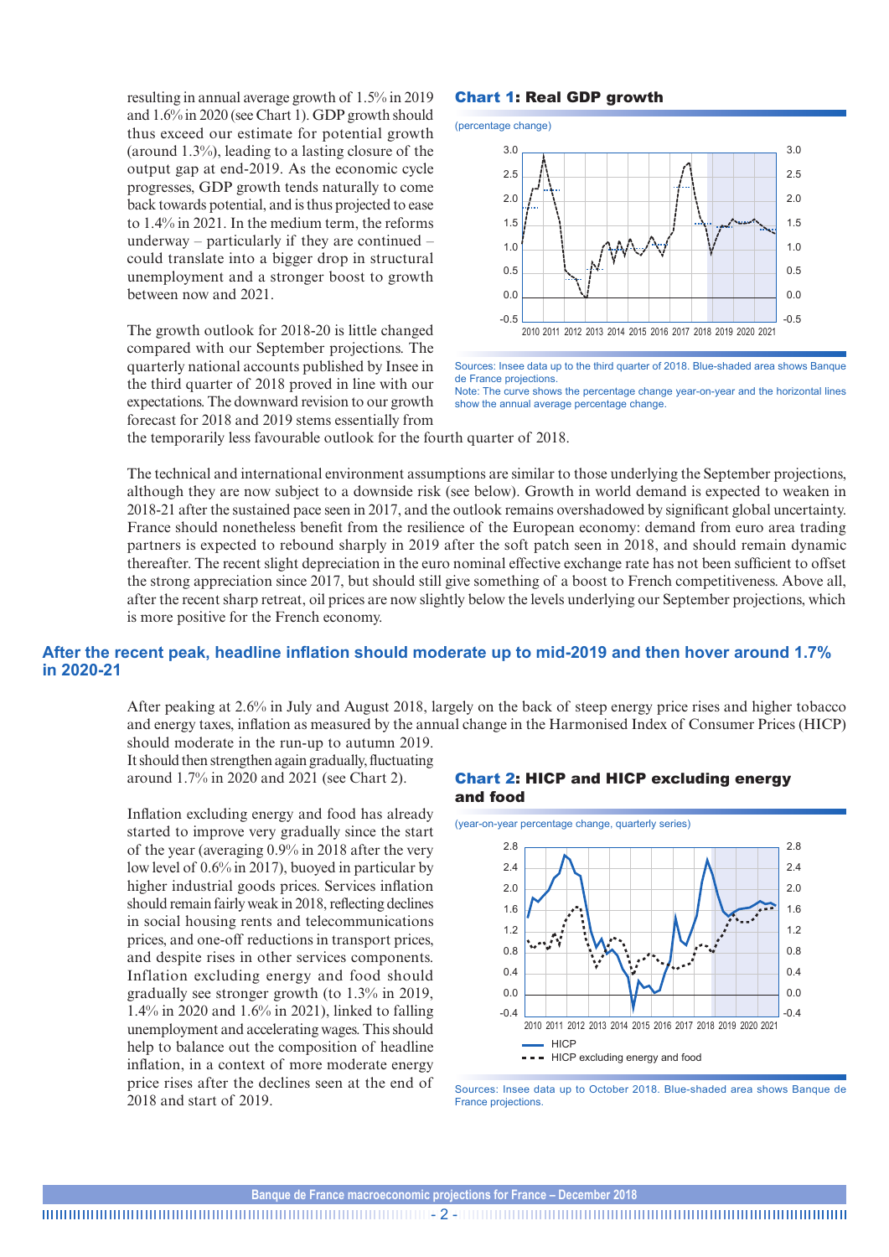resulting in annual average growth of 1.5% in 2019 and 1.6% in 2020 (see Chart 1). GDP growth should thus exceed our estimate for potential growth (around 1.3%), leading to a lasting closure of the output gap at end-2019. As the economic cycle progresses, GDP growth tends naturally to come back towards potential, and is thus projected to ease to 1.4% in 2021. In the medium term, the reforms underway – particularly if they are continued – could translate into a bigger drop in structural unemployment and a stronger boost to growth between now and 2021.

The growth outlook for 2018-20 is little changed compared with our September projections. The quarterly national accounts published by Insee in the third quarter of 2018 proved in line with our expectations. The downward revision to our growth forecast for 2018 and 2019 stems essentially from

## Chart 1: Real GDP growth

(percentage change)



Sources: Insee data up to the third quarter of 2018. Blue-shaded area shows Banque de France projections. Note: The curve shows the percentage change year-on-year and the horizontal lines show the annual average percentage change.

the temporarily less favourable outlook for the fourth quarter of 2018.

The technical and international environment assumptions are similar to those underlying the September projections, although they are now subject to a downside risk (see below). Growth in world demand is expected to weaken in 2018-21 after the sustained pace seen in 2017, and the outlook remains overshadowed by significant global uncertainty. France should nonetheless benefit from the resilience of the European economy: demand from euro area trading partners is expected to rebound sharply in 2019 after the soft patch seen in 2018, and should remain dynamic thereafter. The recent slight depreciation in the euro nominal effective exchange rate has not been sufficient to offset the strong appreciation since 2017, but should still give something of a boost to French competitiveness. Above all, after the recent sharp retreat, oil prices are now slightly below the levels underlying our September projections, which is more positive for the French economy.

### **After the recent peak, headline inflation should moderate up to mid-2019 and then hover around 1.7% in 2020-21**

After peaking at 2.6% in July and August 2018, largely on the back of steep energy price rises and higher tobacco and energy taxes, inflation as measured by the annual change in the Harmonised Index of Consumer Prices (HICP) should moderate in the run-up to autumn 2019.

It should then strengthen again gradually, fluctuating around 1.7% in 2020 and 2021 (see Chart 2).

Inflation excluding energy and food has already started to improve very gradually since the start of the year (averaging 0.9% in 2018 after the very low level of 0.6% in 2017), buoyed in particular by higher industrial goods prices. Services inflation should remain fairly weak in 2018, reflecting declines in social housing rents and telecommunications prices, and one-off reductions in transport prices, and despite rises in other services components. Inflation excluding energy and food should gradually see stronger growth (to 1.3% in 2019, 1.4% in 2020 and 1.6% in 2021), linked to falling unemployment and accelerating wages. This should help to balance out the composition of headline inflation, in a context of more moderate energy price rises after the declines seen at the end of 2018 and start of 2019.

### Chart 2: HICP and HICP excluding energy and food



Sources: Insee data up to October 2018. Blue-shaded area shows Banque de France projections.

- 2 -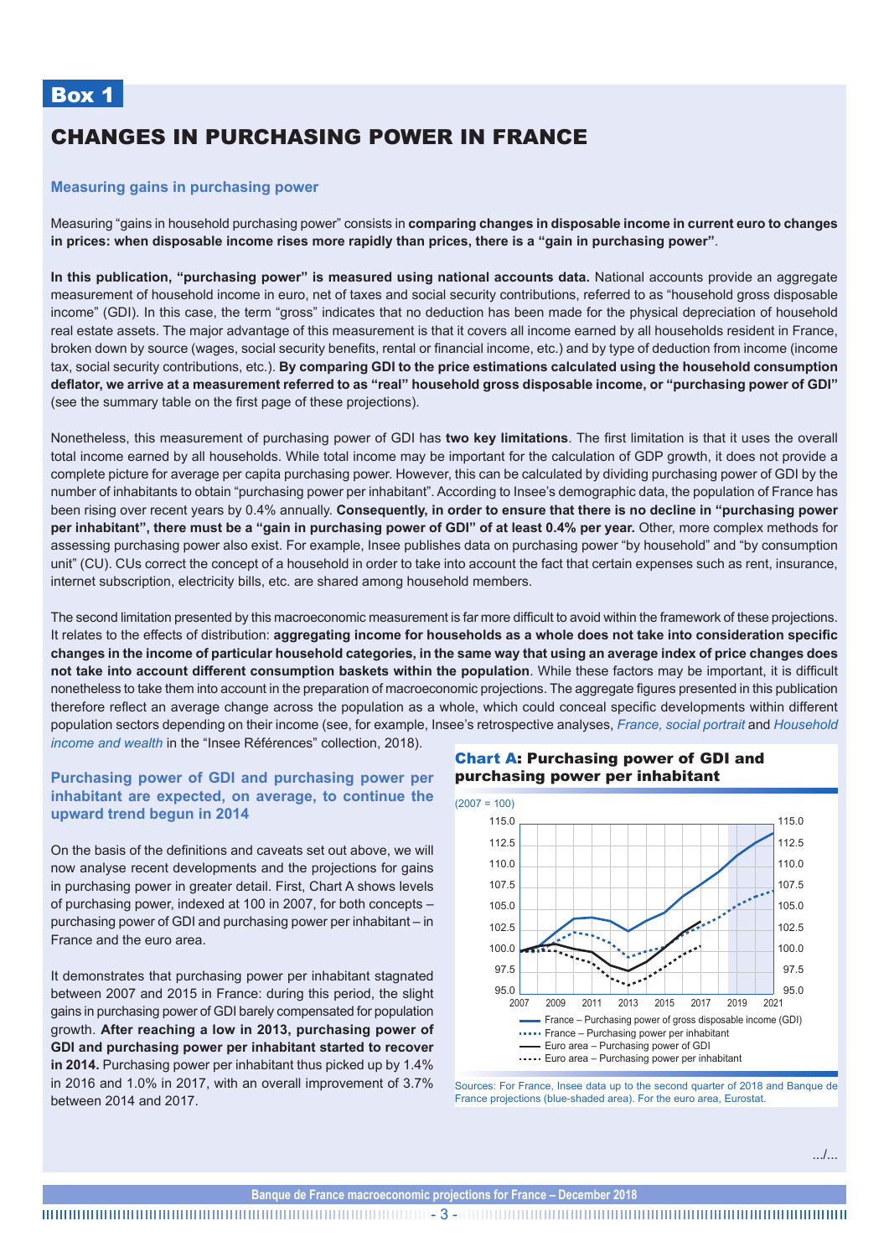# CHANGES IN PURCHASING POWER IN FRANCE

#### **Measuring gains in purchasing power**

Measuring "gains in household purchasing power" consists in **comparing changes in disposable income in current euro to changes in prices: when disposable income rises more rapidly than prices, there is a "gain in purchasing power"**.

**In this publication, "purchasing power" is measured using national accounts data.** National accounts provide an aggregate measurement of household income in euro, net of taxes and social security contributions, referred to as "household gross disposable income" (GDI). In this case, the term "gross" indicates that no deduction has been made for the physical depreciation of household real estate assets. The major advantage of this measurement is that it covers all income earned by all households resident in France, broken down by source (wages, social security benefits, rental or financial income, etc.) and by type of deduction from income (income tax, social security contributions, etc.). **By comparing GDI to the price estimations calculated using the household consumption deflator, we arrive at a measurement referred to as "real" household gross disposable income, or "purchasing power of GDI"** (see the summary table on the first page of these projections).

Nonetheless, this measurement of purchasing power of GDI has **two key limitations**. The first limitation is that it uses the overall total income earned by all households. While total income may be important for the calculation of GDP growth, it does not provide a complete picture for average per capita purchasing power. However, this can be calculated by dividing purchasing power of GDI by the number of inhabitants to obtain "purchasing power per inhabitant". According to Insee's demographic data, the population of France has been rising over recent years by 0.4% annually. **Consequently, in order to ensure that there is no decline in "purchasing power per inhabitant", there must be a "gain in purchasing power of GDI" of at least 0.4% per year.** Other, more complex methods for assessing purchasing power also exist. For example, Insee publishes data on purchasing power "by household" and "by consumption unit" (CU). CUs correct the concept of a household in order to take into account the fact that certain expenses such as rent, insurance, internet subscription, electricity bills, etc. are shared among household members.

The second limitation presented by this macroeconomic measurement is far more difficult to avoid within the framework of these projections. It relates to the effects of distribution: **aggregating income for households as a whole does not take into consideration specific changes in the income of particular household categories, in the same way that using an average index of price changes does not take into account different consumption baskets within the population**. While these factors may be important, it is difficult nonetheless to take them into account in the preparation of macroeconomic projections. The aggregate figures presented in this publication therefore reflect an average change across the population as a whole, which could conceal specific developments within different population sectors depending on their income (see, for example, Insee's retrospective analyses, *[France, social portrait](https://www.insee.fr/en/statistiques/3646243)* and *[Household](https://www.insee.fr/en/statistiques/3549515?sommaire=3549541)  [income and wealth](https://www.insee.fr/en/statistiques/3549515?sommaire=3549541)* in the "Insee Références" collection, 2018).

### **Purchasing power of GDI and purchasing power per inhabitant are expected, on average, to continue the upward trend begun in 2014**

On the basis of the definitions and caveats set out above, we will now analyse recent developments and the projections for gains in purchasing power in greater detail. First, Chart A shows levels of purchasing power, indexed at 100 in 2007, for both concepts – purchasing power of GDI and purchasing power per inhabitant – in France and the euro area.

It demonstrates that purchasing power per inhabitant stagnated between 2007 and 2015 in France: during this period, the slight gains in purchasing power of GDI barely compensated for population growth. **After reaching a low in 2013, purchasing power of GDI and purchasing power per inhabitant started to recover in 2014.** Purchasing power per inhabitant thus picked up by 1.4% in 2016 and 1.0% in 2017, with an overall improvement of 3.7% between 2014 and 2017.

Chart A: Purchasing power of GDI and purchasing power per inhabitant



Sources: For France, Insee data up to the second quarter of 2018 and Banque de France projections (blue-shaded area). For the euro area, Eurostat.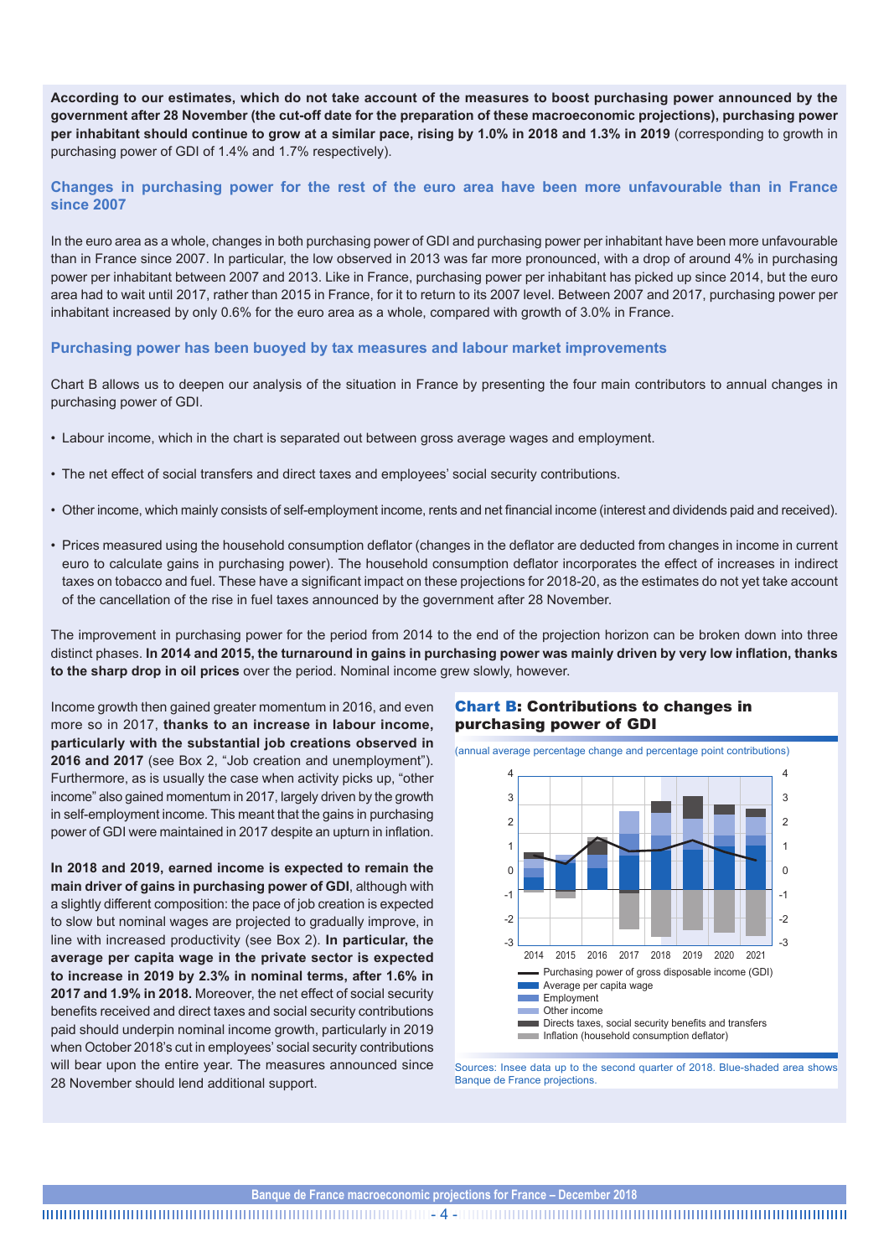**According to our estimates, which do not take account of the measures to boost purchasing power announced by the government after 28 November (the cut-off date for the preparation of these macroeconomic projections), purchasing power per inhabitant should continue to grow at a similar pace, rising by 1.0% in 2018 and 1.3% in 2019** (corresponding to growth in purchasing power of GDI of 1.4% and 1.7% respectively).

**Changes in purchasing power for the rest of the euro area have been more unfavourable than in France since 2007** 

In the euro area as a whole, changes in both purchasing power of GDI and purchasing power per inhabitant have been more unfavourable than in France since 2007. In particular, the low observed in 2013 was far more pronounced, with a drop of around 4% in purchasing power per inhabitant between 2007 and 2013. Like in France, purchasing power per inhabitant has picked up since 2014, but the euro area had to wait until 2017, rather than 2015 in France, for it to return to its 2007 level. Between 2007 and 2017, purchasing power per inhabitant increased by only 0.6% for the euro area as a whole, compared with growth of 3.0% in France.

#### **Purchasing power has been buoyed by tax measures and labour market improvements**

Chart B allows us to deepen our analysis of the situation in France by presenting the four main contributors to annual changes in purchasing power of GDI.

- Labour income, which in the chart is separated out between gross average wages and employment.
- The net effect of social transfers and direct taxes and employees' social security contributions.
- Other income, which mainly consists of self-employment income, rents and net financial income (interest and dividends paid and received).
- Prices measured using the household consumption deflator (changes in the deflator are deducted from changes in income in current euro to calculate gains in purchasing power). The household consumption deflator incorporates the effect of increases in indirect taxes on tobacco and fuel. These have a significant impact on these projections for 2018-20, as the estimates do not yet take account of the cancellation of the rise in fuel taxes announced by the government after 28 November.

The improvement in purchasing power for the period from 2014 to the end of the projection horizon can be broken down into three distinct phases. **In 2014 and 2015, the turnaround in gains in purchasing power was mainly driven by very low inflation, thanks to the sharp drop in oil prices** over the period. Nominal income grew slowly, however.

Income growth then gained greater momentum in 2016, and even more so in 2017, **thanks to an increase in labour income, particularly with the substantial job creations observed in 2016 and 2017** (see Box 2, "Job creation and unemployment"). Furthermore, as is usually the case when activity picks up, "other income" also gained momentum in 2017, largely driven by the growth in self-employment income. This meant that the gains in purchasing power of GDI were maintained in 2017 despite an upturn in inflation.

**In 2018 and 2019, earned income is expected to remain the main driver of gains in purchasing power of GDI**, although with a slightly different composition: the pace of job creation is expected to slow but nominal wages are projected to gradually improve, in line with increased productivity (see Box 2). **In particular, the average per capita wage in the private sector is expected to increase in 2019 by 2.3% in nominal terms, after 1.6% in 2017 and 1.9% in 2018.** Moreover, the net effect of social security benefits received and direct taxes and social security contributions paid should underpin nominal income growth, particularly in 2019 when October 2018's cut in employees' social security contributions will bear upon the entire year. The measures announced since 28 November should lend additional support.

### Chart B: Contributions to changes in purchasing power of GDI

(annual average percentage change and percentage point contributions)



Sources: Insee data up to the second quarter of 2018. Blue-shaded area shows Banque de France projections.

**Banque de France macroeconomic projections for France – December 2018**

- 4 -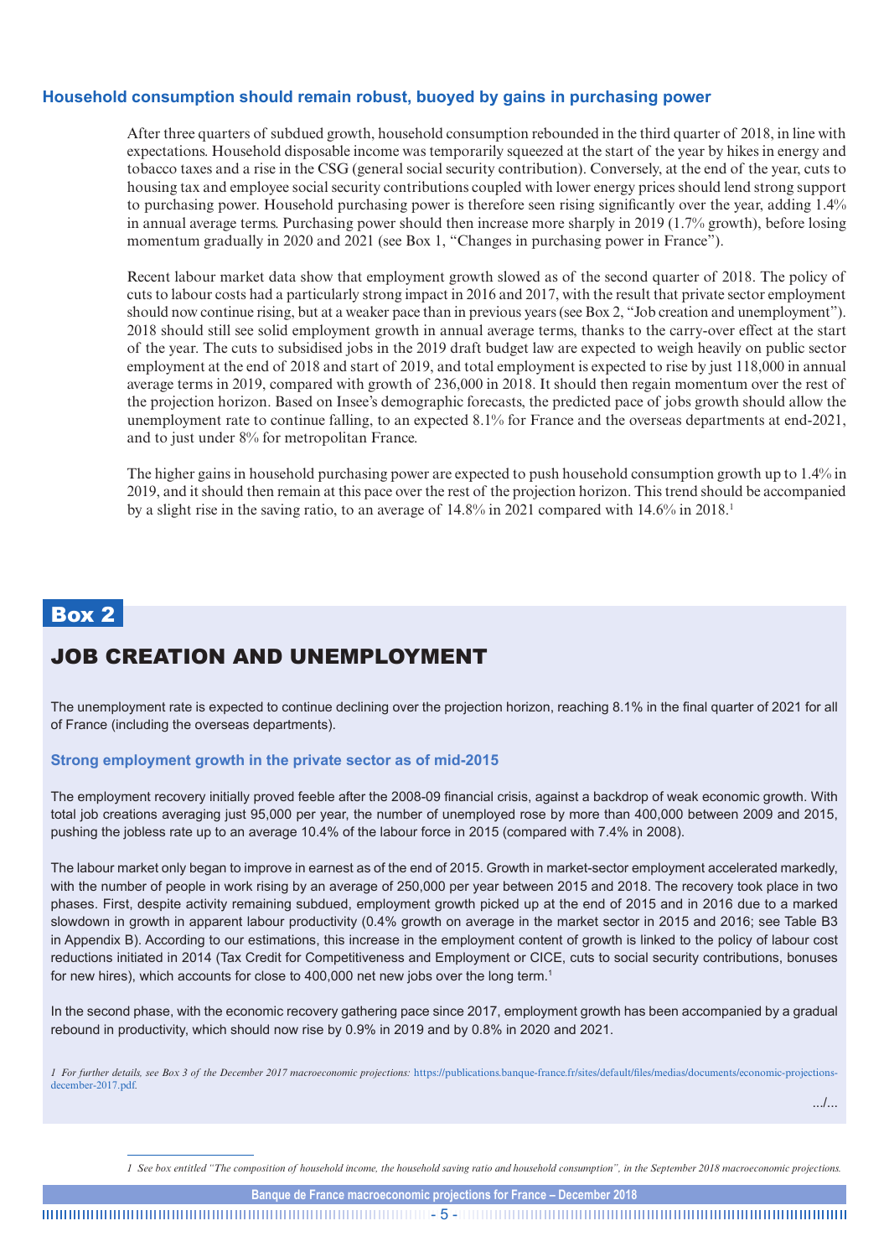## **Household consumption should remain robust, buoyed by gains in purchasing power**

After three quarters of subdued growth, household consumption rebounded in the third quarter of 2018, in line with expectations. Household disposable income was temporarily squeezed at the start of the year by hikes in energy and tobacco taxes and a rise in the CSG (general social security contribution). Conversely, at the end of the year, cuts to housing tax and employee social security contributions coupled with lower energy prices should lend strong support to purchasing power. Household purchasing power is therefore seen rising significantly over the year, adding 1.4% in annual average terms. Purchasing power should then increase more sharply in 2019 (1.7% growth), before losing momentum gradually in 2020 and 2021 (see Box 1, "Changes in purchasing power in France").

Recent labour market data show that employment growth slowed as of the second quarter of 2018. The policy of cuts to labour costs had a particularly strong impact in 2016 and 2017, with the result that private sector employment should now continue rising, but at a weaker pace than in previous years (see Box 2, "Job creation and unemployment"). 2018 should still see solid employment growth in annual average terms, thanks to the carry-over effect at the start of the year. The cuts to subsidised jobs in the 2019 draft budget law are expected to weigh heavily on public sector employment at the end of 2018 and start of 2019, and total employment is expected to rise by just 118,000 in annual average terms in 2019, compared with growth of 236,000 in 2018. It should then regain momentum over the rest of the projection horizon. Based on Insee's demographic forecasts, the predicted pace of jobs growth should allow the unemployment rate to continue falling, to an expected 8.1% for France and the overseas departments at end-2021, and to just under 8% for metropolitan France.

The higher gains in household purchasing power are expected to push household consumption growth up to 1.4% in 2019, and it should then remain at this pace over the rest of the projection horizon. This trend should be accompanied by a slight rise in the saving ratio, to an average of 14.8% in 2021 compared with 14.6% in 2018.1

# Box 2

# JOB CREATION AND UNEMPLOYMENT

The unemployment rate is expected to continue declining over the projection horizon, reaching 8.1% in the final quarter of 2021 for all of France (including the overseas departments).

### **Strong employment growth in the private sector as of mid-2015**

The employment recovery initially proved feeble after the 2008-09 financial crisis, against a backdrop of weak economic growth. With total job creations averaging just 95,000 per year, the number of unemployed rose by more than 400,000 between 2009 and 2015, pushing the jobless rate up to an average 10.4% of the labour force in 2015 (compared with 7.4% in 2008).

The labour market only began to improve in earnest as of the end of 2015. Growth in market-sector employment accelerated markedly, with the number of people in work rising by an average of 250,000 per year between 2015 and 2018. The recovery took place in two phases. First, despite activity remaining subdued, employment growth picked up at the end of 2015 and in 2016 due to a marked slowdown in growth in apparent labour productivity (0.4% growth on average in the market sector in 2015 and 2016; see Table B3 in Appendix B). According to our estimations, this increase in the employment content of growth is linked to the policy of labour cost reductions initiated in 2014 (Tax Credit for Competitiveness and Employment or CICE, cuts to social security contributions, bonuses for new hires), which accounts for close to 400,000 net new jobs over the long term.<sup>1</sup>

In the second phase, with the economic recovery gathering pace since 2017, employment growth has been accompanied by a gradual rebound in productivity, which should now rise by 0.9% in 2019 and by 0.8% in 2020 and 2021.

*1 For further details, see Box 3 of the December 2017 macroeconomic projections:* [https://publications.banque-france.fr/sites/default/files/medias/documents/economic-projections](https://publications.banque-france.fr/sites/default/files/medias/documents/economic-projections-december-2017.pdf)[december-2017.pdf](https://publications.banque-france.fr/sites/default/files/medias/documents/economic-projections-december-2017.pdf)*.*

.../...

*1 See box entitled "The composition of household income, the household saving ratio and household consumption", in the September 2018 macroeconomic projections.*

**Banque de France macroeconomic projections for France – December 2018**

- 5 -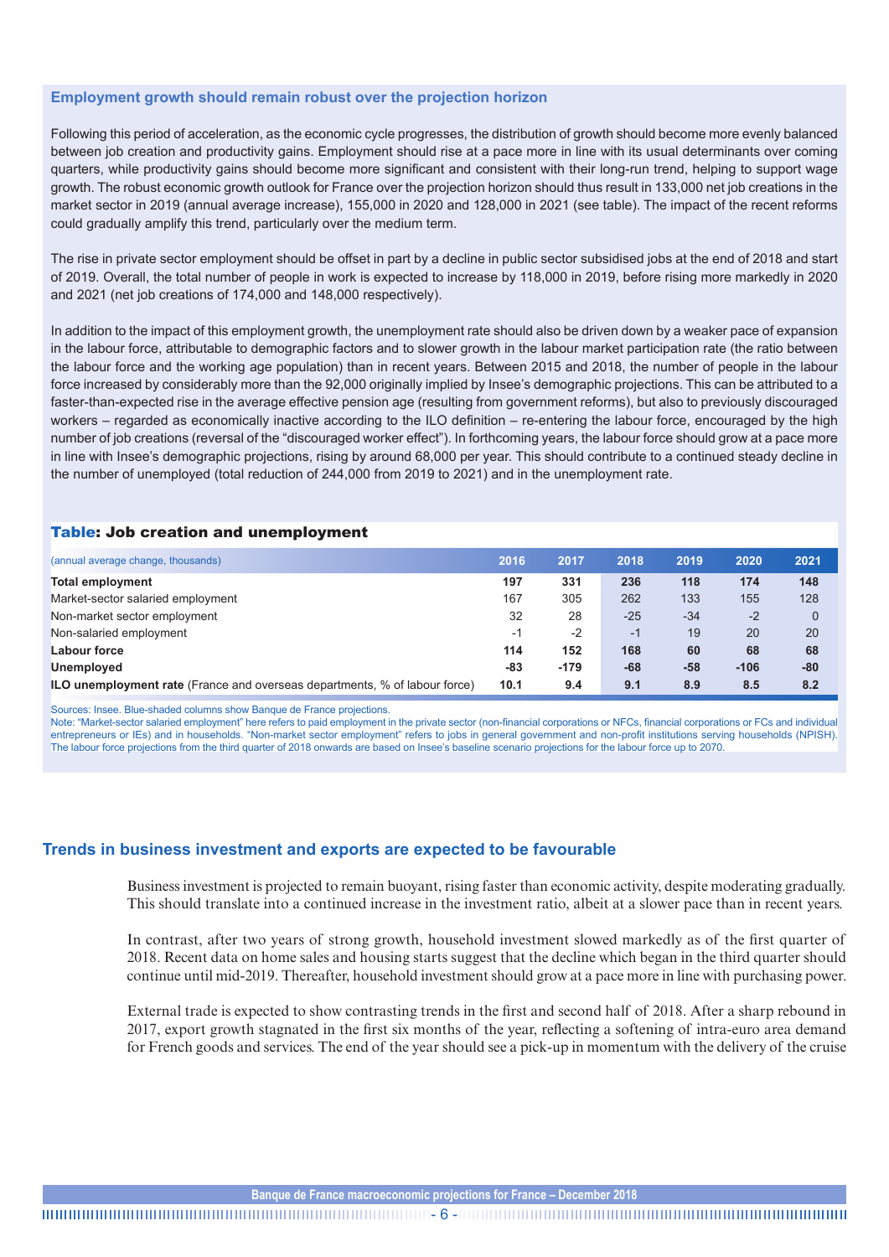#### **Employment growth should remain robust over the projection horizon**

Following this period of acceleration, as the economic cycle progresses, the distribution of growth should become more evenly balanced between job creation and productivity gains. Employment should rise at a pace more in line with its usual determinants over coming quarters, while productivity gains should become more significant and consistent with their long-run trend, helping to support wage growth. The robust economic growth outlook for France over the projection horizon should thus result in 133,000 net job creations in the market sector in 2019 (annual average increase), 155,000 in 2020 and 128,000 in 2021 (see table). The impact of the recent reforms could gradually amplify this trend, particularly over the medium term.

The rise in private sector employment should be offset in part by a decline in public sector subsidised jobs at the end of 2018 and start of 2019. Overall, the total number of people in work is expected to increase by 118,000 in 2019, before rising more markedly in 2020 and 2021 (net job creations of 174,000 and 148,000 respectively).

In addition to the impact of this employment growth, the unemployment rate should also be driven down by a weaker pace of expansion in the labour force, attributable to demographic factors and to slower growth in the labour market participation rate (the ratio between the labour force and the working age population) than in recent years. Between 2015 and 2018, the number of people in the labour force increased by considerably more than the 92,000 originally implied by Insee's demographic projections. This can be attributed to a faster-than-expected rise in the average effective pension age (resulting from government reforms), but also to previously discouraged workers – regarded as economically inactive according to the ILO definition – re-entering the labour force, encouraged by the high number of job creations (reversal of the "discouraged worker effect"). In forthcoming years, the labour force should grow at a pace more in line with Insee's demographic projections, rising by around 68,000 per year. This should contribute to a continued steady decline in the number of unemployed (total reduction of 244,000 from 2019 to 2021) and in the unemployment rate.

### Table: Job creation and unemployment

| (annual average change, thousands)                                                | 2016 | 2017   | 2018  | 2019  | 2020   | 2021     |
|-----------------------------------------------------------------------------------|------|--------|-------|-------|--------|----------|
| <b>Total employment</b>                                                           | 197  | 331    | 236   | 118   | 174    | 148      |
| Market-sector salaried employment                                                 | 167  | 305    | 262   | 133   | 155    | 128      |
| Non-market sector employment                                                      | 32   | 28     | $-25$ | $-34$ | $-2$   | $\Omega$ |
| Non-salaried employment                                                           | $-1$ | $-2$   | $-1$  | 19    | 20     | 20       |
| <b>Labour force</b>                                                               | 114  | 152    | 168   | 60    | 68     | 68       |
| <b>Unemployed</b>                                                                 | -83  | $-179$ | -68   | -58   | $-106$ | -80      |
| <b>ILO unemployment rate</b> (France and overseas departments, % of labour force) | 10.1 | 9.4    | 9.1   | 8.9   | 8.5    | 8.2      |

Sources: Insee. Blue-shaded columns show Banque de France projections.

Note: "Market-sector salaried employment" here refers to paid employment in the private sector (non-financial corporations or NFCs, financial corporations or FCs and individual entrepreneurs or IEs) and in households. "Non-market sector employment" refers to jobs in general government and non-profit institutions serving households (NPISH). The labour force projections from the third quarter of 2018 onwards are based on Insee's baseline scenario projections for the labour force up to 2070.

### **Trends in business investment and exports are expected to be favourable**

Business investment is projected to remain buoyant, rising faster than economic activity, despite moderating gradually. This should translate into a continued increase in the investment ratio, albeit at a slower pace than in recent years.

In contrast, after two years of strong growth, household investment slowed markedly as of the first quarter of 2018. Recent data on home sales and housing starts suggest that the decline which began in the third quarter should continue until mid-2019. Thereafter, household investment should grow at a pace more in line with purchasing power.

External trade is expected to show contrasting trends in the first and second half of 2018. After a sharp rebound in 2017, export growth stagnated in the first six months of the year, reflecting a softening of intra-euro area demand for French goods and services. The end of the year should see a pick-up in momentum with the delivery of the cruise

- 6 -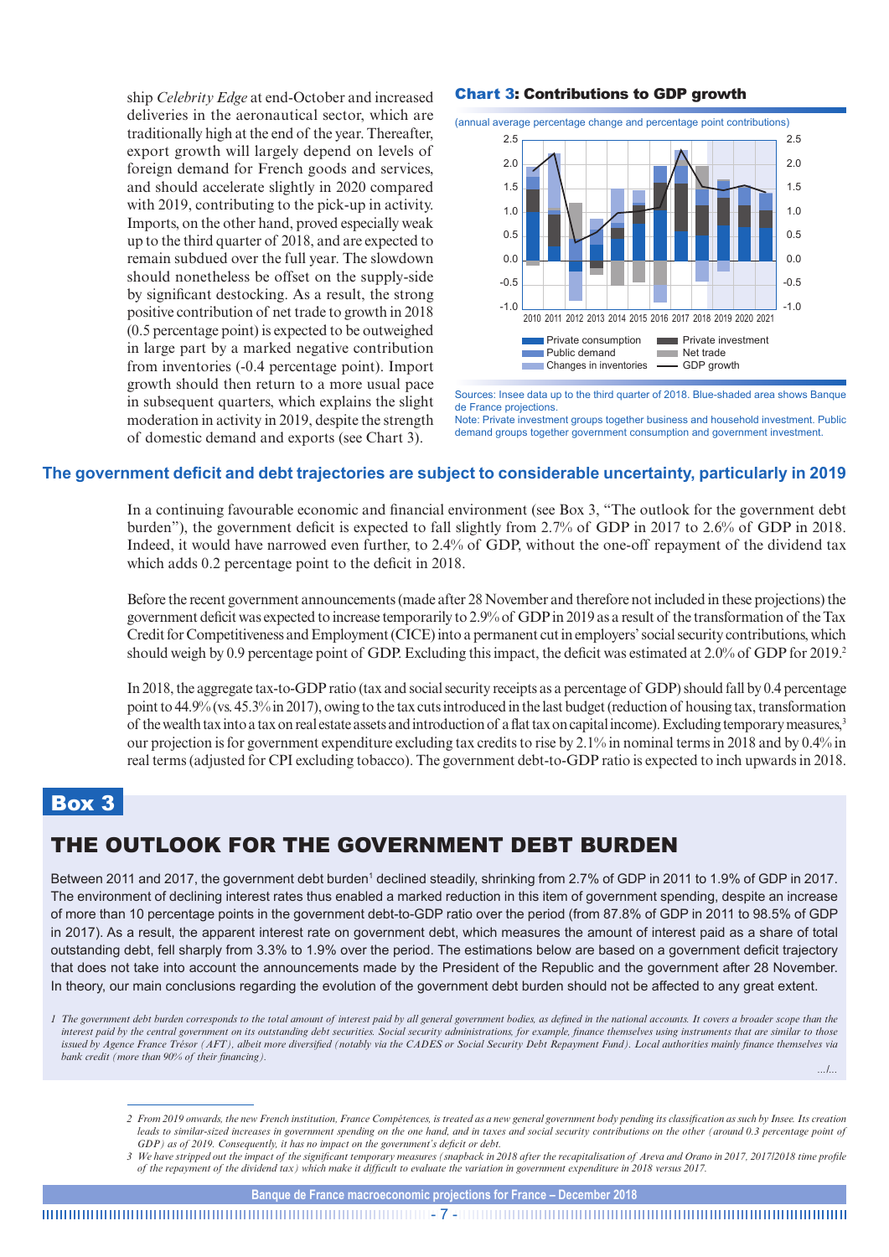ship *Celebrity Edge* at end-October and increased deliveries in the aeronautical sector, which are traditionally high at the end of the year. Thereafter, export growth will largely depend on levels of foreign demand for French goods and services, and should accelerate slightly in 2020 compared with 2019, contributing to the pick-up in activity. Imports, on the other hand, proved especially weak up to the third quarter of 2018, and are expected to remain subdued over the full year. The slowdown should nonetheless be offset on the supply-side by significant destocking. As a result, the strong positive contribution of net trade to growth in 2018 (0.5 percentage point) is expected to be outweighed in large part by a marked negative contribution from inventories (-0.4 percentage point). Import growth should then return to a more usual pace in subsequent quarters, which explains the slight moderation in activity in 2019, despite the strength of domestic demand and exports (see Chart 3).

#### Chart 3: Contributions to GDP growth



Sources: Insee data up to the third quarter of 2018. Blue-shaded area shows Banque de France projections.

Note: Private investment groups together business and household investment. Public demand groups together government consumption and government investment.

#### **The government deficit and debt trajectories are subject to considerable uncertainty, particularly in 2019**

In a continuing favourable economic and financial environment (see Box 3, "The outlook for the government debt burden"), the government deficit is expected to fall slightly from 2.7% of GDP in 2017 to 2.6% of GDP in 2018. Indeed, it would have narrowed even further, to 2.4% of GDP, without the one-off repayment of the dividend tax which adds 0.2 percentage point to the deficit in 2018.

Before the recent government announcements (made after 28 November and therefore not included in these projections) the government deficit was expected to increase temporarily to 2.9% of GDP in 2019 as a result of the transformation of the Tax Credit for Competitiveness and Employment (CICE) into a permanent cut in employers' social security contributions, which should weigh by 0.9 percentage point of GDP. Excluding this impact, the deficit was estimated at 2.0% of GDP for 2019.<sup>2</sup>

In 2018, the aggregate tax-to-GDP ratio (tax and social security receipts as a percentage of GDP) should fall by 0.4 percentage point to 44.9% (vs. 45.3% in 2017), owing to the tax cuts introduced in the last budget (reduction of housing tax, transformation of the wealth tax into a tax on real estate assets and introduction of a flat tax on capital income). Excluding temporary measures,<sup>3</sup> our projection is for government expenditure excluding tax credits to rise by 2.1% in nominal terms in 2018 and by 0.4% in real terms (adjusted for CPI excluding tobacco). The government debt-to-GDP ratio is expected to inch upwards in 2018.

# Box 3

# THE OUTLOOK FOR THE GOVERNMENT DEBT BURDEN

Between 2011 and 2017, the government debt burden<sup>1</sup> declined steadily, shrinking from 2.7% of GDP in 2011 to 1.9% of GDP in 2017. The environment of declining interest rates thus enabled a marked reduction in this item of government spending, despite an increase of more than 10 percentage points in the government debt-to-GDP ratio over the period (from 87.8% of GDP in 2011 to 98.5% of GDP in 2017). As a result, the apparent interest rate on government debt, which measures the amount of interest paid as a share of total outstanding debt, fell sharply from 3.3% to 1.9% over the period. The estimations below are based on a government deficit trajectory that does not take into account the announcements made by the President of the Republic and the government after 28 November. In theory, our main conclusions regarding the evolution of the government debt burden should not be affected to any great extent.

*.../...*

*<sup>1</sup>* The government debt burden corresponds to the total amount of interest paid by all general government bodies, as defined in the national accounts. It covers a broader scope than the *interest paid by the central government on its outstanding debt securities. Social security administrations, for example, finance themselves using instruments that are similar to those issued by Agence France Trésor (AFT), albeit more diversified (notably via the CADES or Social Security Debt Repayment Fund). Local authorities mainly finance themselves via bank credit (more than 90% of their financing).*

*<sup>2</sup> From 2019 onwards, the new French institution, France Compétences, is treated as a new general government body pending its classification as such by Insee. Its creation*  leads to similar-sized increases in government spending on the one hand, and in taxes and social security contributions on the other (around 0.3 percentage point of *GDP) as of 2019. Consequently, it has no impact on the government's deficit or debt.*

<sup>3</sup> We have stripped out the impact of the significant temporary measures (snapback in 2018 after the recapitalisation of Areva and Orano in 2017, 2017/2018 time profile *of the repayment of the dividend tax) which make it difficult to evaluate the variation in government expenditure in 2018 versus 2017.*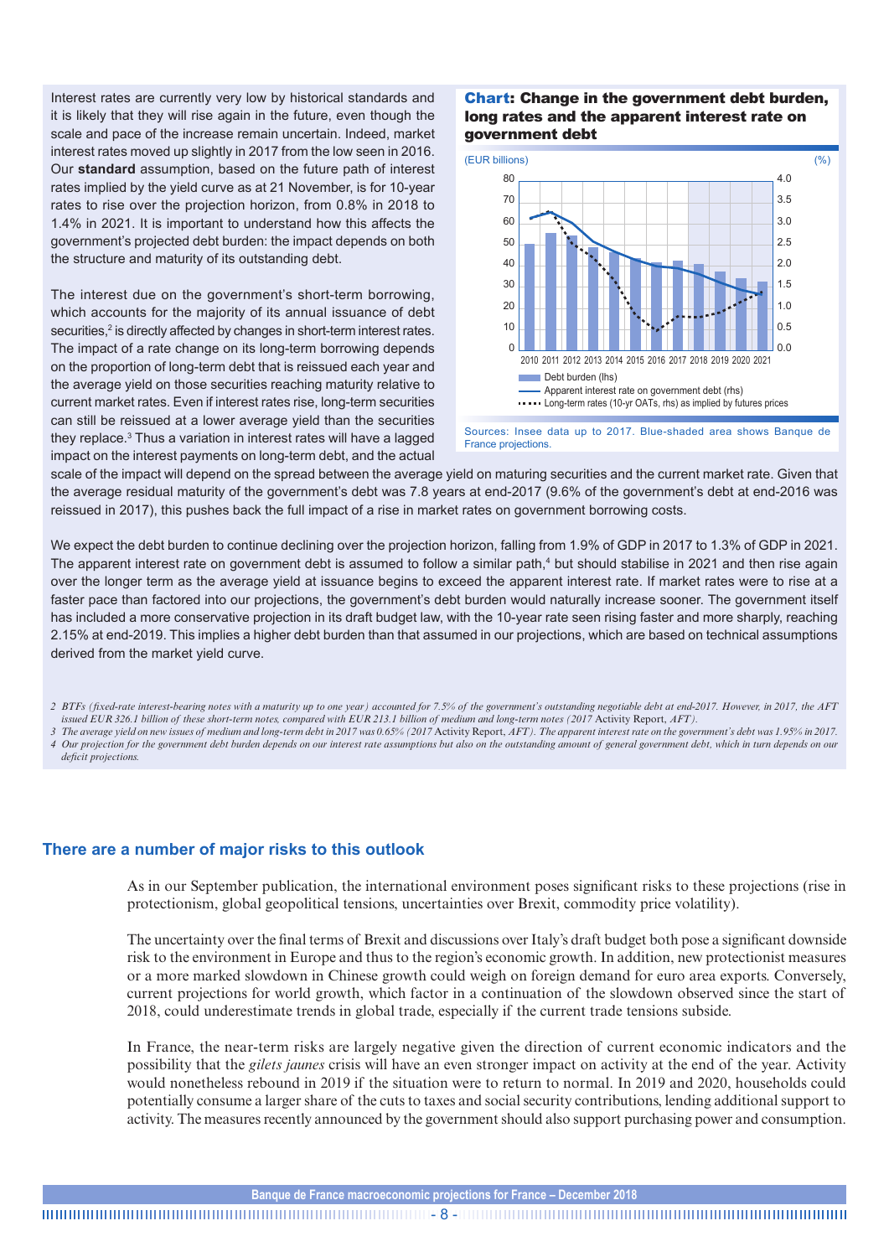Interest rates are currently very low by historical standards and it is likely that they will rise again in the future, even though the scale and pace of the increase remain uncertain. Indeed, market interest rates moved up slightly in 2017 from the low seen in 2016. Our **standard** assumption, based on the future path of interest rates implied by the yield curve as at 21 November, is for 10-year rates to rise over the projection horizon, from 0.8% in 2018 to 1.4% in 2021. It is important to understand how this affects the government's projected debt burden: the impact depends on both the structure and maturity of its outstanding debt.

The interest due on the government's short-term borrowing, which accounts for the majority of its annual issuance of debt securities,<sup>2</sup> is directly affected by changes in short-term interest rates. The impact of a rate change on its long-term borrowing depends on the proportion of long-term debt that is reissued each year and the average yield on those securities reaching maturity relative to current market rates. Even if interest rates rise, long-term securities can still be reissued at a lower average yield than the securities they replace.3 Thus a variation in interest rates will have a lagged impact on the interest payments on long-term debt, and the actual

#### Chart: Change in the government debt burden, long rates and the apparent interest rate on government debt



Sources: Insee data up to 2017. Blue-shaded area shows Banque de France projections.

scale of the impact will depend on the spread between the average yield on maturing securities and the current market rate. Given that the average residual maturity of the government's debt was 7.8 years at end-2017 (9.6% of the government's debt at end-2016 was reissued in 2017), this pushes back the full impact of a rise in market rates on government borrowing costs.

We expect the debt burden to continue declining over the projection horizon, falling from 1.9% of GDP in 2017 to 1.3% of GDP in 2021. The apparent interest rate on government debt is assumed to follow a similar path,<sup>4</sup> but should stabilise in 2021 and then rise again over the longer term as the average yield at issuance begins to exceed the apparent interest rate. If market rates were to rise at a faster pace than factored into our projections, the government's debt burden would naturally increase sooner. The government itself has included a more conservative projection in its draft budget law, with the 10-year rate seen rising faster and more sharply, reaching 2.15% at end-2019. This implies a higher debt burden than that assumed in our projections, which are based on technical assumptions derived from the market yield curve.

- *2 BTFs (fixed-rate interest-bearing notes with a maturity up to one year) accounted for 7.5% of the government's outstanding negotiable debt at end-2017. However, in 2017, the AFT issued EUR 326.1 billion of these short-term notes, compared with EUR 213.1 billion of medium and long-term notes (2017* Activity Report, *AFT).*
- *3 The average yield on new issues of medium and long-term debt in 2017 was 0.65% (2017* Activity Report, *AFT). The apparent interest rate on the government's debt was 1.95% in 2017. 4 Our projection for the government debt burden depends on our interest rate assumptions but also on the outstanding amount of general government debt, which in turn depends on our deficit projections.*

## **There are a number of major risks to this outlook**

As in our September publication, the international environment poses significant risks to these projections (rise in protectionism, global geopolitical tensions, uncertainties over Brexit, commodity price volatility).

The uncertainty over the final terms of Brexit and discussions over Italy's draft budget both pose a significant downside risk to the environment in Europe and thus to the region's economic growth. In addition, new protectionist measures or a more marked slowdown in Chinese growth could weigh on foreign demand for euro area exports. Conversely, current projections for world growth, which factor in a continuation of the slowdown observed since the start of 2018, could underestimate trends in global trade, especially if the current trade tensions subside.

In France, the near-term risks are largely negative given the direction of current economic indicators and the possibility that the *gilets jaunes* crisis will have an even stronger impact on activity at the end of the year. Activity would nonetheless rebound in 2019 if the situation were to return to normal. In 2019 and 2020, households could potentially consume a larger share of the cuts to taxes and social security contributions, lending additional support to activity. The measures recently announced by the government should also support purchasing power and consumption.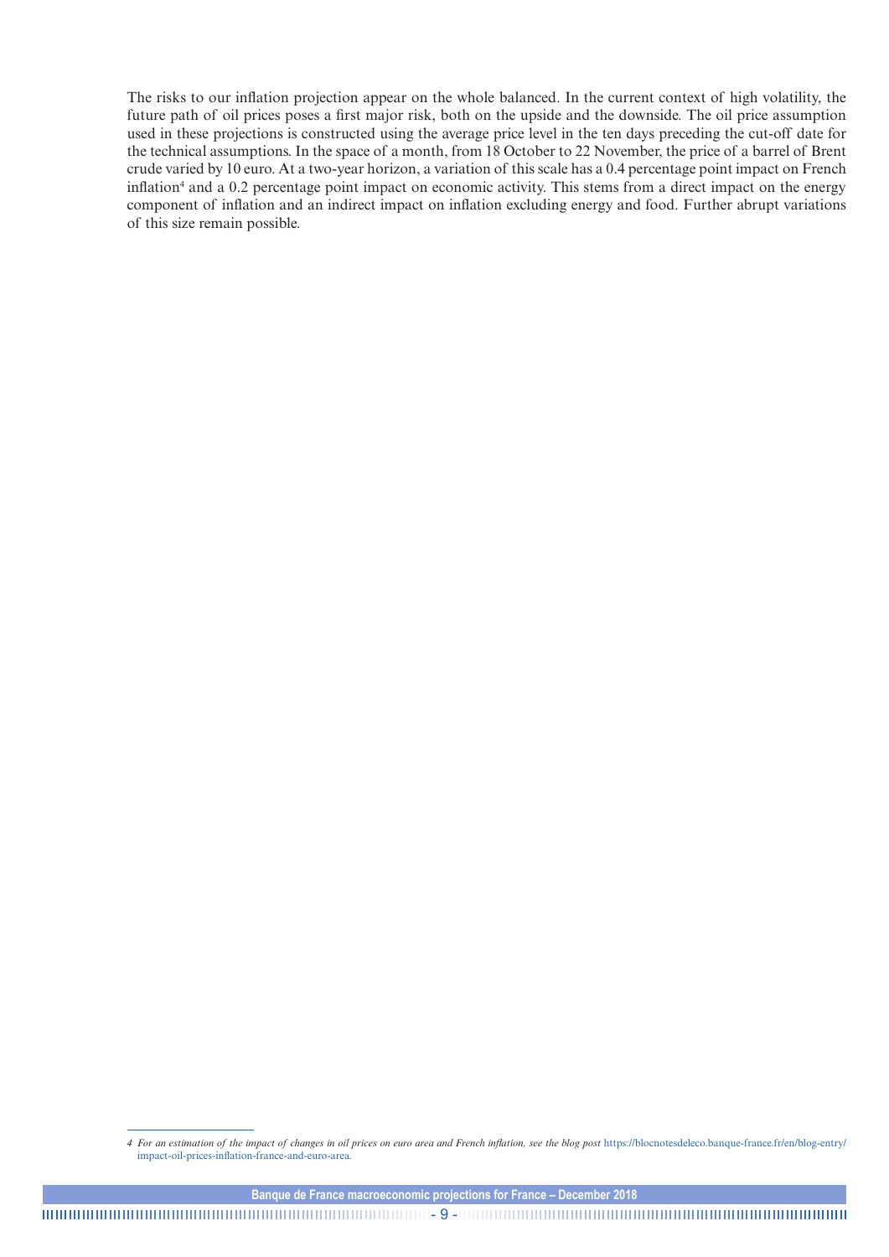The risks to our inflation projection appear on the whole balanced. In the current context of high volatility, the future path of oil prices poses a first major risk, both on the upside and the downside. The oil price assumption used in these projections is constructed using the average price level in the ten days preceding the cut-off date for the technical assumptions. In the space of a month, from 18 October to 22 November, the price of a barrel of Brent crude varied by 10 euro. At a two-year horizon, a variation of this scale has a 0.4 percentage point impact on French inflation<sup>4</sup> and a 0.2 percentage point impact on economic activity. This stems from a direct impact on the energy component of inflation and an indirect impact on inflation excluding energy and food. Further abrupt variations of this size remain possible.

- 9 -

*<sup>4</sup> For an estimation of the impact of changes in oil prices on euro area and French inflation, see the blog post [https://blocnotesdeleco.banque-france.fr/en/blog-entry/](https://blocnotesdeleco.banque-france.fr/en/blog-entry/impact-oil-prices-inflation-france-and-euro-area)* [impact-oil-prices-inflation-france-and-euro-area](https://blocnotesdeleco.banque-france.fr/en/blog-entry/impact-oil-prices-inflation-france-and-euro-area)*.*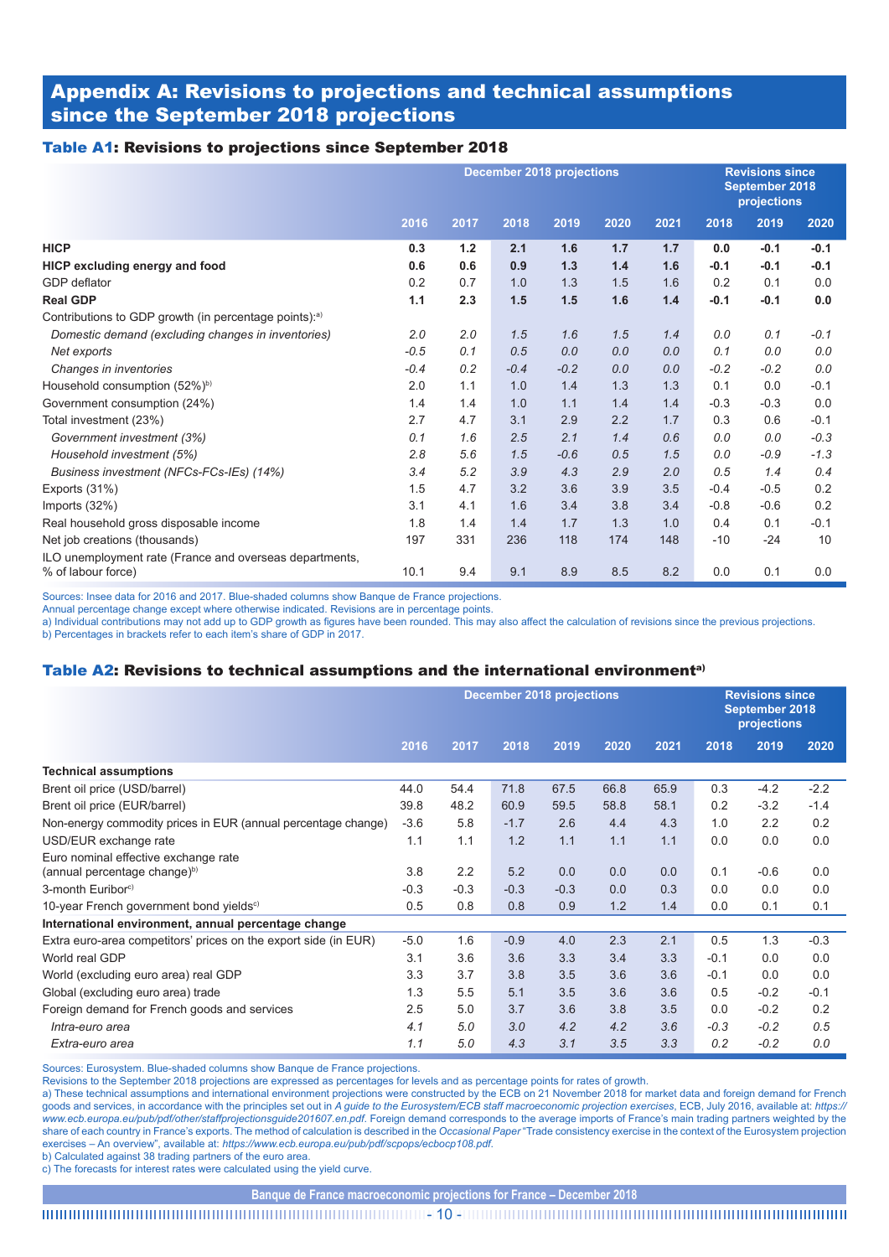# Appendix A: Revisions to projections and technical assumptions since the September 2018 projections

### Table A1: Revisions to projections since September 2018

|                                                                               | <b>December 2018 projections</b> |       |        |        |      |      | <b>Revisions since</b><br>September 2018<br>projections |        |        |
|-------------------------------------------------------------------------------|----------------------------------|-------|--------|--------|------|------|---------------------------------------------------------|--------|--------|
|                                                                               | 2016                             | 2017  | 2018   | 2019   | 2020 | 2021 | 2018                                                    | 2019   | 2020   |
| <b>HICP</b>                                                                   | 0.3                              | $1.2$ | 2.1    | 1.6    | 1.7  | 1.7  | 0.0                                                     | $-0.1$ | $-0.1$ |
| <b>HICP excluding energy and food</b>                                         | 0.6                              | 0.6   | 0.9    | 1.3    | 1.4  | 1.6  | $-0.1$                                                  | $-0.1$ | $-0.1$ |
| GDP deflator                                                                  | 0.2                              | 0.7   | 1.0    | 1.3    | 1.5  | 1.6  | 0.2                                                     | 0.1    | 0.0    |
| <b>Real GDP</b>                                                               | 1.1                              | 2.3   | 1.5    | 1.5    | 1.6  | 1.4  | $-0.1$                                                  | $-0.1$ | 0.0    |
| Contributions to GDP growth (in percentage points): <sup>a)</sup>             |                                  |       |        |        |      |      |                                                         |        |        |
| Domestic demand (excluding changes in inventories)                            | 2.0                              | 2.0   | 1.5    | 1.6    | 1.5  | 1.4  | 0.0                                                     | 0.1    | $-0.1$ |
| Net exports                                                                   | $-0.5$                           | 0.1   | 0.5    | 0.0    | 0.0  | 0.0  | 0.1                                                     | 0.0    | 0.0    |
| Changes in inventories                                                        | $-0.4$                           | 0.2   | $-0.4$ | $-0.2$ | 0.0  | 0.0  | $-0.2$                                                  | $-0.2$ | 0.0    |
| Household consumption (52%) <sup>b)</sup>                                     | 2.0                              | 1.1   | 1.0    | 1.4    | 1.3  | 1.3  | 0.1                                                     | 0.0    | $-0.1$ |
| Government consumption (24%)                                                  | 1.4                              | 1.4   | 1.0    | 1.1    | 1.4  | 1.4  | $-0.3$                                                  | $-0.3$ | 0.0    |
| Total investment (23%)                                                        | 2.7                              | 4.7   | 3.1    | 2.9    | 2.2  | 1.7  | 0.3                                                     | 0.6    | $-0.1$ |
| Government investment (3%)                                                    | 0.1                              | 1.6   | 2.5    | 2.1    | 1.4  | 0.6  | 0.0                                                     | 0.0    | $-0.3$ |
| Household investment (5%)                                                     | 2.8                              | 5.6   | 1.5    | $-0.6$ | 0.5  | 1.5  | 0.0                                                     | $-0.9$ | $-1.3$ |
| Business investment (NFCs-FCs-IEs) (14%)                                      | 3.4                              | 5.2   | 3.9    | 4.3    | 2.9  | 2.0  | 0.5                                                     | 1.4    | 0.4    |
| Exports (31%)                                                                 | 1.5                              | 4.7   | 3.2    | 3.6    | 3.9  | 3.5  | $-0.4$                                                  | $-0.5$ | 0.2    |
| Imports (32%)                                                                 | 3.1                              | 4.1   | 1.6    | 3.4    | 3.8  | 3.4  | $-0.8$                                                  | $-0.6$ | 0.2    |
| Real household gross disposable income                                        | 1.8                              | 1.4   | 1.4    | 1.7    | 1.3  | 1.0  | 0.4                                                     | 0.1    | $-0.1$ |
| Net job creations (thousands)                                                 | 197                              | 331   | 236    | 118    | 174  | 148  | $-10$                                                   | $-24$  | 10     |
| ILO unemployment rate (France and overseas departments,<br>% of labour force) | 10.1                             | 9.4   | 9.1    | 8.9    | 8.5  | 8.2  | 0.0                                                     | 0.1    | 0.0    |

Sources: Insee data for 2016 and 2017. Blue-shaded columns show Banque de France projections.

Annual percentage change except where otherwise indicated. Revisions are in percentage points.

a) Individual contributions may not add up to GDP growth as figures have been rounded. This may also affect the calculation of revisions since the previous projections.

b) Percentages in brackets refer to each item's share of GDP in 2017.

### Table A2: Revisions to technical assumptions and the international environment<sup>a)</sup>

|                                                                 | <b>December 2018 projections</b> |        |        |        |      | <b>Revisions since</b><br>September 2018<br>projections |        |        |        |
|-----------------------------------------------------------------|----------------------------------|--------|--------|--------|------|---------------------------------------------------------|--------|--------|--------|
|                                                                 | 2016                             | 2017   | 2018   | 2019   | 2020 | 2021                                                    | 2018   | 2019   | 2020   |
| <b>Technical assumptions</b>                                    |                                  |        |        |        |      |                                                         |        |        |        |
| Brent oil price (USD/barrel)                                    | 44.0                             | 54.4   | 71.8   | 67.5   | 66.8 | 65.9                                                    | 0.3    | $-4.2$ | $-2.2$ |
| Brent oil price (EUR/barrel)                                    | 39.8                             | 48.2   | 60.9   | 59.5   | 58.8 | 58.1                                                    | 0.2    | $-3.2$ | $-1.4$ |
| Non-energy commodity prices in EUR (annual percentage change)   | $-3.6$                           | 5.8    | $-1.7$ | 2.6    | 4.4  | 4.3                                                     | 1.0    | 2.2    | 0.2    |
| USD/EUR exchange rate                                           | 1.1                              | 1.1    | 1.2    | 1.1    | 1.1  | 1.1                                                     | 0.0    | 0.0    | 0.0    |
| Euro nominal effective exchange rate                            |                                  |        |        |        |      |                                                         |        |        |        |
| (annual percentage change) <sup>b)</sup>                        | 3.8                              | 2.2    | 5.2    | 0.0    | 0.0  | 0.0                                                     | 0.1    | $-0.6$ | 0.0    |
| 3-month Euribor <sup>c)</sup>                                   | $-0.3$                           | $-0.3$ | $-0.3$ | $-0.3$ | 0.0  | 0.3                                                     | 0.0    | 0.0    | 0.0    |
| 10-year French government bond yields <sup>c)</sup>             | 0.5                              | 0.8    | 0.8    | 0.9    | 1.2  | 1.4                                                     | 0.0    | 0.1    | 0.1    |
| International environment, annual percentage change             |                                  |        |        |        |      |                                                         |        |        |        |
| Extra euro-area competitors' prices on the export side (in EUR) | $-5.0$                           | 1.6    | $-0.9$ | 4.0    | 2.3  | 2.1                                                     | 0.5    | 1.3    | $-0.3$ |
| World real GDP                                                  | 3.1                              | 3.6    | 3.6    | 3.3    | 3.4  | 3.3                                                     | $-0.1$ | 0.0    | 0.0    |
| World (excluding euro area) real GDP                            | 3.3                              | 3.7    | 3.8    | 3.5    | 3.6  | 3.6                                                     | $-0.1$ | 0.0    | 0.0    |
| Global (excluding euro area) trade                              | 1.3                              | 5.5    | 5.1    | 3.5    | 3.6  | 3.6                                                     | 0.5    | $-0.2$ | $-0.1$ |
| Foreign demand for French goods and services                    | 2.5                              | 5.0    | 3.7    | 3.6    | 3.8  | 3.5                                                     | 0.0    | $-0.2$ | 0.2    |
| Intra-euro area                                                 | 4.1                              | 5.0    | 3.0    | 4.2    | 4.2  | 3.6                                                     | $-0.3$ | $-0.2$ | 0.5    |
| Extra-euro area                                                 | 1.1                              | 5.0    | 4.3    | 3.1    | 3.5  | 3.3                                                     | 0.2    | $-0.2$ | 0.0    |

Sources: Eurosystem. Blue-shaded columns show Banque de France projections.

Revisions to the September 2018 projections are expressed as percentages for levels and as percentage points for rates of growth.

a) These technical assumptions and international environment projections were constructed by the ECB on 21 November 2018 for market data and foreign demand for French goods and services, in accordance with the principles set out in *A guide to the Eurosystem/ECB staff macroeconomic projection exercises*, ECB, July 2016, available at: *[https://](https://www.ecb.europa.eu/pub/pdf/other/staffprojectionsguide201607.en.pdf) [www.ecb.europa.eu/pub/pdf/other/staffprojectionsguide201607.en.pdf](https://www.ecb.europa.eu/pub/pdf/other/staffprojectionsguide201607.en.pdf)*. Foreign demand corresponds to the average imports of France's main trading partners weighted by the share of each country in France's exports. The method of calculation is described in the *Occasional Paper* "Trade consistency exercise in the context of the Eurosystem projection exercises – An overview", available at: *<https://www.ecb.europa.eu/pub/pdf/scpops/ecbocp108.pdf>*.

b) Calculated against 38 trading partners of the euro area.

c) The forecasts for interest rates were calculated using the yield curve.

**Banque de France macroeconomic projections for France – December 2018**

- 10 -